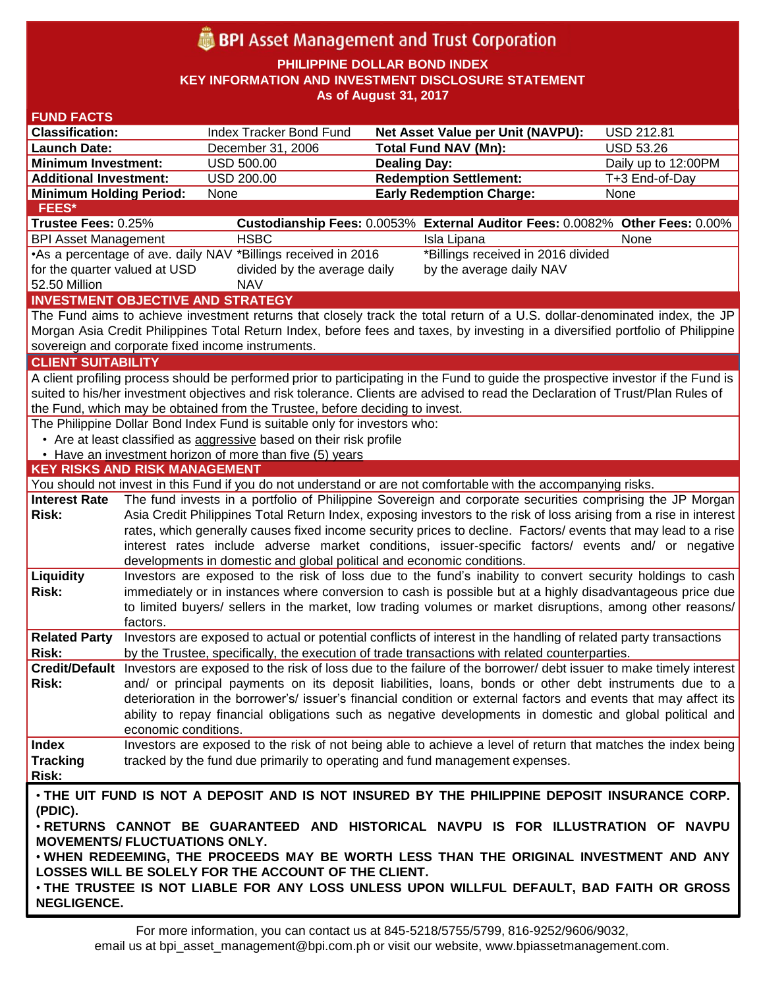# **BPI** Asset Management and Trust Corporation

**PHILIPPINE DOLLAR BOND INDEX**

**KEY INFORMATION AND INVESTMENT DISCLOSURE STATEMENT**

**As of August 31, 2017**

| <b>FUND FACTS</b>                                                                                                                  |                                                                                                                                                                                                                         |                                                                        |                                                                                                                                 |                     |  |
|------------------------------------------------------------------------------------------------------------------------------------|-------------------------------------------------------------------------------------------------------------------------------------------------------------------------------------------------------------------------|------------------------------------------------------------------------|---------------------------------------------------------------------------------------------------------------------------------|---------------------|--|
| <b>Classification:</b>                                                                                                             |                                                                                                                                                                                                                         | Index Tracker Bond Fund                                                | <b>Net Asset Value per Unit (NAVPU):</b>                                                                                        | <b>USD 212.81</b>   |  |
| <b>Launch Date:</b>                                                                                                                |                                                                                                                                                                                                                         | December 31, 2006                                                      | <b>Total Fund NAV (Mn):</b>                                                                                                     | <b>USD 53.26</b>    |  |
| <b>Minimum Investment:</b>                                                                                                         |                                                                                                                                                                                                                         | <b>USD 500.00</b>                                                      | <b>Dealing Day:</b>                                                                                                             | Daily up to 12:00PM |  |
| <b>Additional Investment:</b>                                                                                                      |                                                                                                                                                                                                                         | <b>USD 200.00</b>                                                      | <b>Redemption Settlement:</b>                                                                                                   | T+3 End-of-Day      |  |
| <b>Minimum Holding Period:</b>                                                                                                     |                                                                                                                                                                                                                         | None                                                                   | <b>Early Redemption Charge:</b>                                                                                                 | None                |  |
| <b>FEES*</b><br>Custodianship Fees: 0.0053% External Auditor Fees: 0.0082% Other Fees: 0.00%                                       |                                                                                                                                                                                                                         |                                                                        |                                                                                                                                 |                     |  |
| Trustee Fees: 0.25%                                                                                                                |                                                                                                                                                                                                                         |                                                                        |                                                                                                                                 |                     |  |
| <b>BPI Asset Management</b>                                                                                                        |                                                                                                                                                                                                                         | <b>HSBC</b>                                                            | Isla Lipana<br>*Billings received in 2016 divided                                                                               | None                |  |
|                                                                                                                                    | •As a percentage of ave. daily NAV *Billings received in 2016<br>for the quarter valued at USD<br>divided by the average daily<br>by the average daily NAV                                                              |                                                                        |                                                                                                                                 |                     |  |
| 52.50 Million                                                                                                                      |                                                                                                                                                                                                                         | <b>NAV</b>                                                             |                                                                                                                                 |                     |  |
| <b>INVESTMENT OBJECTIVE AND STRATEGY</b>                                                                                           |                                                                                                                                                                                                                         |                                                                        |                                                                                                                                 |                     |  |
| The Fund aims to achieve investment returns that closely track the total return of a U.S. dollar-denominated index, the JP         |                                                                                                                                                                                                                         |                                                                        |                                                                                                                                 |                     |  |
| Morgan Asia Credit Philippines Total Return Index, before fees and taxes, by investing in a diversified portfolio of Philippine    |                                                                                                                                                                                                                         |                                                                        |                                                                                                                                 |                     |  |
| sovereign and corporate fixed income instruments.                                                                                  |                                                                                                                                                                                                                         |                                                                        |                                                                                                                                 |                     |  |
| <b>CLIENT SUITABILITY</b>                                                                                                          |                                                                                                                                                                                                                         |                                                                        |                                                                                                                                 |                     |  |
| A client profiling process should be performed prior to participating in the Fund to guide the prospective investor if the Fund is |                                                                                                                                                                                                                         |                                                                        |                                                                                                                                 |                     |  |
| suited to his/her investment objectives and risk tolerance. Clients are advised to read the Declaration of Trust/Plan Rules of     |                                                                                                                                                                                                                         |                                                                        |                                                                                                                                 |                     |  |
| the Fund, which may be obtained from the Trustee, before deciding to invest.                                                       |                                                                                                                                                                                                                         |                                                                        |                                                                                                                                 |                     |  |
| The Philippine Dollar Bond Index Fund is suitable only for investors who:                                                          |                                                                                                                                                                                                                         |                                                                        |                                                                                                                                 |                     |  |
| • Are at least classified as aggressive based on their risk profile                                                                |                                                                                                                                                                                                                         |                                                                        |                                                                                                                                 |                     |  |
|                                                                                                                                    |                                                                                                                                                                                                                         | • Have an investment horizon of more than five (5) years               |                                                                                                                                 |                     |  |
| <b>KEY RISKS AND RISK MANAGEMENT</b>                                                                                               |                                                                                                                                                                                                                         |                                                                        |                                                                                                                                 |                     |  |
|                                                                                                                                    |                                                                                                                                                                                                                         |                                                                        | You should not invest in this Fund if you do not understand or are not comfortable with the accompanying risks.                 |                     |  |
| <b>Interest Rate</b>                                                                                                               |                                                                                                                                                                                                                         |                                                                        | The fund invests in a portfolio of Philippine Sovereign and corporate securities comprising the JP Morgan                       |                     |  |
| <b>Risk:</b>                                                                                                                       | Asia Credit Philippines Total Return Index, exposing investors to the risk of loss arising from a rise in interest                                                                                                      |                                                                        |                                                                                                                                 |                     |  |
|                                                                                                                                    |                                                                                                                                                                                                                         |                                                                        | rates, which generally causes fixed income security prices to decline. Factors/ events that may lead to a rise                  |                     |  |
|                                                                                                                                    |                                                                                                                                                                                                                         |                                                                        | interest rates include adverse market conditions, issuer-specific factors/ events and/ or negative                              |                     |  |
|                                                                                                                                    |                                                                                                                                                                                                                         | developments in domestic and global political and economic conditions. |                                                                                                                                 |                     |  |
| Liquidity<br><b>Risk:</b>                                                                                                          |                                                                                                                                                                                                                         |                                                                        | Investors are exposed to the risk of loss due to the fund's inability to convert security holdings to cash                      |                     |  |
|                                                                                                                                    | immediately or in instances where conversion to cash is possible but at a highly disadvantageous price due<br>to limited buyers/ sellers in the market, low trading volumes or market disruptions, among other reasons/ |                                                                        |                                                                                                                                 |                     |  |
|                                                                                                                                    | factors.                                                                                                                                                                                                                |                                                                        |                                                                                                                                 |                     |  |
| <b>Related Party</b>                                                                                                               |                                                                                                                                                                                                                         |                                                                        | Investors are exposed to actual or potential conflicts of interest in the handling of related party transactions                |                     |  |
| <b>Risk:</b>                                                                                                                       |                                                                                                                                                                                                                         |                                                                        | by the Trustee, specifically, the execution of trade transactions with related counterparties.                                  |                     |  |
|                                                                                                                                    |                                                                                                                                                                                                                         |                                                                        | Credit/Default Investors are exposed to the risk of loss due to the failure of the borrower/debt issuer to make timely interest |                     |  |
| Risk:                                                                                                                              |                                                                                                                                                                                                                         |                                                                        | and/ or principal payments on its deposit liabilities, loans, bonds or other debt instruments due to a                          |                     |  |
|                                                                                                                                    |                                                                                                                                                                                                                         |                                                                        | deterioration in the borrower's/ issuer's financial condition or external factors and events that may affect its                |                     |  |
|                                                                                                                                    |                                                                                                                                                                                                                         |                                                                        | ability to repay financial obligations such as negative developments in domestic and global political and                       |                     |  |
|                                                                                                                                    | economic conditions.                                                                                                                                                                                                    |                                                                        |                                                                                                                                 |                     |  |
| <b>Index</b>                                                                                                                       |                                                                                                                                                                                                                         |                                                                        | Investors are exposed to the risk of not being able to achieve a level of return that matches the index being                   |                     |  |
| <b>Tracking</b>                                                                                                                    |                                                                                                                                                                                                                         |                                                                        | tracked by the fund due primarily to operating and fund management expenses.                                                    |                     |  |
| Risk:                                                                                                                              |                                                                                                                                                                                                                         |                                                                        |                                                                                                                                 |                     |  |
| . THE UIT FUND IS NOT A DEPOSIT AND IS NOT INSURED BY THE PHILIPPINE DEPOSIT INSURANCE CORP.                                       |                                                                                                                                                                                                                         |                                                                        |                                                                                                                                 |                     |  |
| (PDIC).                                                                                                                            |                                                                                                                                                                                                                         |                                                                        |                                                                                                                                 |                     |  |
| . RETURNS CANNOT BE GUARANTEED AND HISTORICAL NAVPU IS FOR ILLUSTRATION OF NAVPU                                                   |                                                                                                                                                                                                                         |                                                                        |                                                                                                                                 |                     |  |
| <b>MOVEMENTS/ FLUCTUATIONS ONLY.</b>                                                                                               |                                                                                                                                                                                                                         |                                                                        |                                                                                                                                 |                     |  |
| . WHEN REDEEMING, THE PROCEEDS MAY BE WORTH LESS THAN THE ORIGINAL INVESTMENT AND ANY                                              |                                                                                                                                                                                                                         |                                                                        |                                                                                                                                 |                     |  |
| LOSSES WILL BE SOLELY FOR THE ACCOUNT OF THE CLIENT.                                                                               |                                                                                                                                                                                                                         |                                                                        |                                                                                                                                 |                     |  |
| . THE TRUSTEE IS NOT LIABLE FOR ANY LOSS UNLESS UPON WILLFUL DEFAULT, BAD FAITH OR GROSS                                           |                                                                                                                                                                                                                         |                                                                        |                                                                                                                                 |                     |  |
| <b>NEGLIGENCE.</b>                                                                                                                 |                                                                                                                                                                                                                         |                                                                        |                                                                                                                                 |                     |  |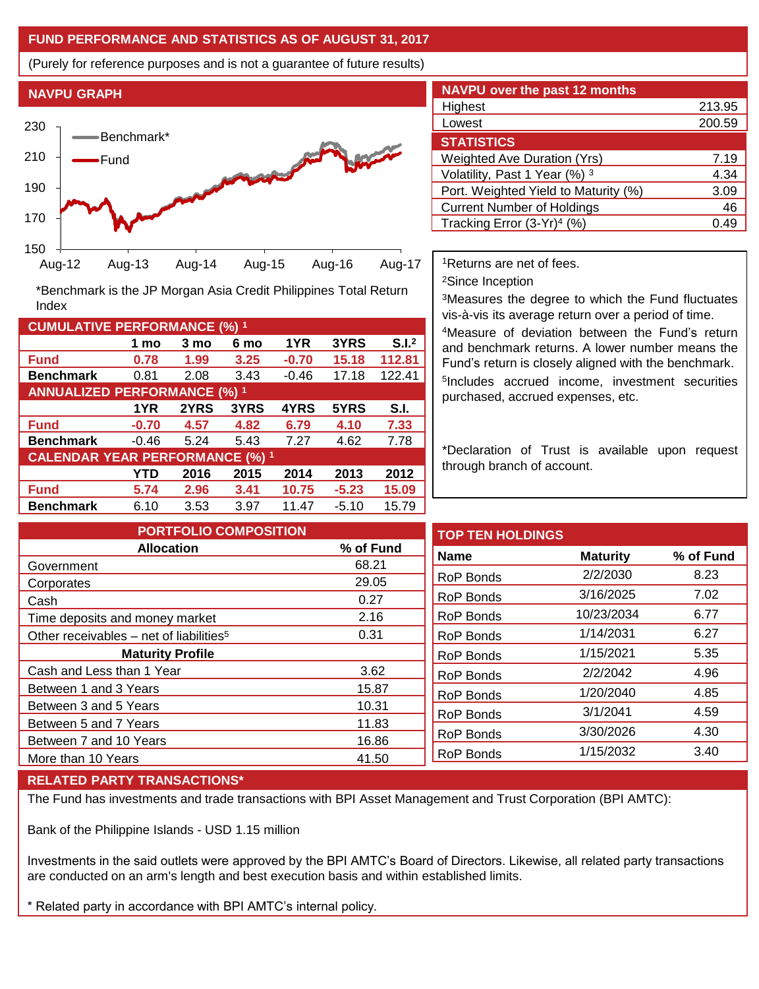# **FUND PERFORMANCE AND STATISTICS AS OF AUGUST 31, 2017**

(Purely for reference purposes and is not a guarantee of future results)



**Fund 0.78 1.99 3.25 -0.70 15.18 112.81 Benchmark** 0.81 2.08 3.43 -0.46 17.18 122.41

\*Benchmark is the JP Morgan Asia Credit Philippines Total Return

**Fund -0.70 4.57 4.82 6.79 4.10 7.33 Benchmark** -0.46 5.24 5.43 7.27 4.62 7.78

**Fund 5.74 2.96 3.41 10.75 -5.23 15.09 Benchmark** 6.10 3.53 3.97 11.47 -5.10 15.79

**1 mo 3 mo 6 mo 1YR 3YRS S.I.<sup>2</sup>**

**1YR 2YRS 3YRS 4YRS 5YRS S.I.**

**YTD 2016 2015 2014 2013 2012**

| <b>NAVPU over the past 12 months</b>   |        |  |  |  |
|----------------------------------------|--------|--|--|--|
| Highest                                | 213.95 |  |  |  |
| Lowest                                 | 200.59 |  |  |  |
| <b>STATISTICS</b>                      |        |  |  |  |
| <b>Weighted Ave Duration (Yrs)</b>     | 7.19   |  |  |  |
| Volatility, Past 1 Year (%) 3          | 4.34   |  |  |  |
| Port. Weighted Yield to Maturity (%)   | 3.09   |  |  |  |
| <b>Current Number of Holdings</b>      | 46     |  |  |  |
| Tracking Error (3-Yr) <sup>4</sup> (%) | 0.49   |  |  |  |

<sup>1</sup>Returns are net of fees.

<sup>2</sup>Since Inception

<sup>3</sup>Measures the degree to which the Fund fluctuates vis-à-vis its average return over a period of time.

<sup>4</sup>Measure of deviation between the Fund's return and benchmark returns. A lower number means the Fund's return is closely aligned with the benchmark. 5 Includes accrued income, investment securities purchased, accrued expenses, etc.

\*Declaration of Trust is available upon request through branch of account.

**TOP TEN HOLDINGS Name Maturity % of Fund** RoP Bonds 2/2/2030 8.23 RoP Bonds 3/16/2025 7.02 RoP Bonds 10/23/2034 6.77 RoP Bonds 1/14/2031 6.27 RoP Bonds 1/15/2021 5.35 RoP Bonds 2/2/2042 4.96 RoP Bonds 1/20/2040 4.85 RoP Bonds 3/1/2041 4.59 RoP Bonds 3/30/2026 4.30 RoP Bonds 1/15/2032 3.40 **PORTFOLIO COMPOSITION Allocation % of Fund** Government 68.21 Corporates 29.05 Cash 0.27 Time deposits and money market 2.16 Other receivables – net of liabilities<sup>5</sup> 0.31 **Maturity Profile** Cash and Less than 1 Year 3.62 Between 1 and 3 Years 15.87 Between 3 and 5 Years 10.31 Between 5 and 7 Years 11.83 Between 7 and 10 Years 16.86 More than 10 Years 41.50

### **RELATED PARTY TRANSACTIONS\***

**CUMULATIVE PERFORMANCE (%) <sup>1</sup>**

Index

**ANNUALIZED PERFORMANCE (%) <sup>1</sup>**

**CALENDAR YEAR PERFORMANCE (%) <sup>1</sup>**

The Fund has investments and trade transactions with BPI Asset Management and Trust Corporation (BPI AMTC):

Bank of the Philippine Islands - USD 1.15 million

Investments in the said outlets were approved by the BPI AMTC's Board of Directors. Likewise, all related party transactions are conducted on an arm's length and best execution basis and within established limits.

\* Related party in accordance with BPI AMTC's internal policy.